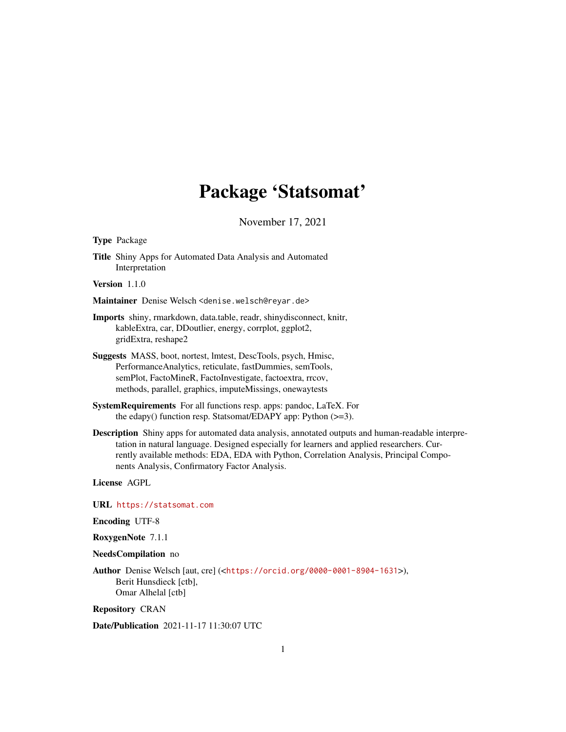# Package 'Statsomat'

November 17, 2021

Type Package

Title Shiny Apps for Automated Data Analysis and Automated Interpretation

Version 1.1.0

- Maintainer Denise Welsch <denise.welsch@reyar.de>
- Imports shiny, rmarkdown, data.table, readr, shinydisconnect, knitr, kableExtra, car, DDoutlier, energy, corrplot, ggplot2, gridExtra, reshape2
- Suggests MASS, boot, nortest, lmtest, DescTools, psych, Hmisc, PerformanceAnalytics, reticulate, fastDummies, semTools, semPlot, FactoMineR, FactoInvestigate, factoextra, rrcov, methods, parallel, graphics, imputeMissings, onewaytests
- SystemRequirements For all functions resp. apps: pandoc, LaTeX. For the edapy() function resp. Statsomat/EDAPY app: Python (>=3).
- Description Shiny apps for automated data analysis, annotated outputs and human-readable interpretation in natural language. Designed especially for learners and applied researchers. Currently available methods: EDA, EDA with Python, Correlation Analysis, Principal Components Analysis, Confirmatory Factor Analysis.

License AGPL

URL <https://statsomat.com>

Encoding UTF-8

RoxygenNote 7.1.1

NeedsCompilation no

Author Denise Welsch [aut, cre] (<<https://orcid.org/0000-0001-8904-1631>>), Berit Hunsdieck [ctb], Omar Alhelal [ctb]

Repository CRAN

Date/Publication 2021-11-17 11:30:07 UTC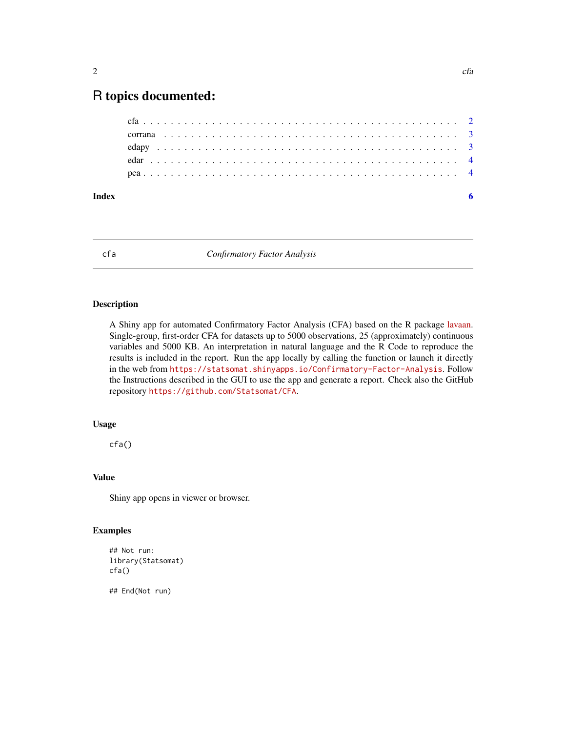# <span id="page-1-0"></span>R topics documented:

| Index |  |  |  |  |  |  |  |  |  |  |  |  |  |  |  |  |  |  |  |  |
|-------|--|--|--|--|--|--|--|--|--|--|--|--|--|--|--|--|--|--|--|--|
|       |  |  |  |  |  |  |  |  |  |  |  |  |  |  |  |  |  |  |  |  |
|       |  |  |  |  |  |  |  |  |  |  |  |  |  |  |  |  |  |  |  |  |
|       |  |  |  |  |  |  |  |  |  |  |  |  |  |  |  |  |  |  |  |  |
|       |  |  |  |  |  |  |  |  |  |  |  |  |  |  |  |  |  |  |  |  |
|       |  |  |  |  |  |  |  |  |  |  |  |  |  |  |  |  |  |  |  |  |

cfa *Confirmatory Factor Analysis*

#### Description

A Shiny app for automated Confirmatory Factor Analysis (CFA) based on the R package [lavaan.](https://lavaan.ugent.be/) Single-group, first-order CFA for datasets up to 5000 observations, 25 (approximately) continuous variables and 5000 KB. An interpretation in natural language and the R Code to reproduce the results is included in the report. Run the app locally by calling the function or launch it directly in the web from <https://statsomat.shinyapps.io/Confirmatory-Factor-Analysis>. Follow the Instructions described in the GUI to use the app and generate a report. Check also the GitHub repository <https://github.com/Statsomat/CFA>.

#### Usage

cfa()

#### Value

Shiny app opens in viewer or browser.

#### Examples

```
## Not run:
library(Statsomat)
cfa()
```
## End(Not run)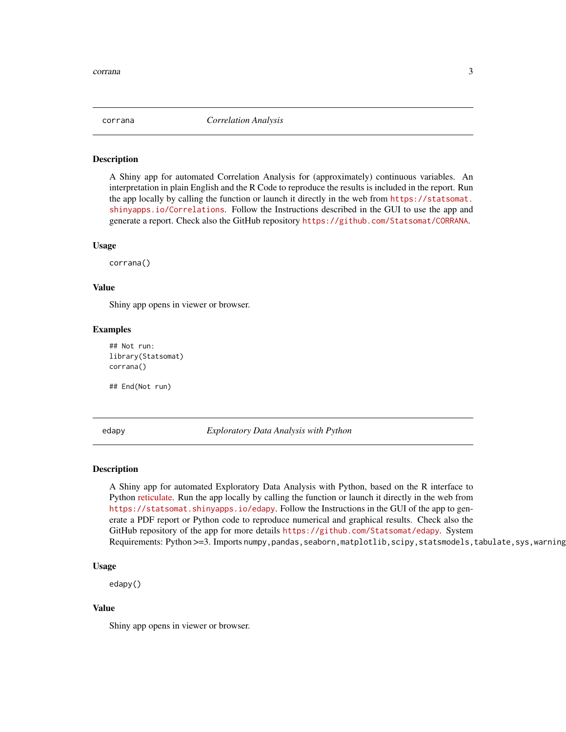<span id="page-2-0"></span>

#### Description

A Shiny app for automated Correlation Analysis for (approximately) continuous variables. An interpretation in plain English and the R Code to reproduce the results is included in the report. Run the app locally by calling the function or launch it directly in the web from [https://statsomat.](https://statsomat.shinyapps.io/Correlations) [shinyapps.io/Correlations](https://statsomat.shinyapps.io/Correlations). Follow the Instructions described in the GUI to use the app and generate a report. Check also the GitHub repository <https://github.com/Statsomat/CORRANA>.

#### Usage

corrana()

#### Value

Shiny app opens in viewer or browser.

#### Examples

## Not run: library(Statsomat) corrana()

## End(Not run)

edapy *Exploratory Data Analysis with Python*

#### Description

A Shiny app for automated Exploratory Data Analysis with Python, based on the R interface to Python [reticulate.](https://rstudio.github.io/reticulate/) Run the app locally by calling the function or launch it directly in the web from <https://statsomat.shinyapps.io/edapy>. Follow the Instructions in the GUI of the app to generate a PDF report or Python code to reproduce numerical and graphical results. Check also the GitHub repository of the app for more details <https://github.com/Statsomat/edapy>. System Requirements: Python >=3. Imports numpy,pandas,seaborn,matplotlib,scipy,statsmodels,tabulate,sys,warning

#### Usage

edapy()

#### Value

Shiny app opens in viewer or browser.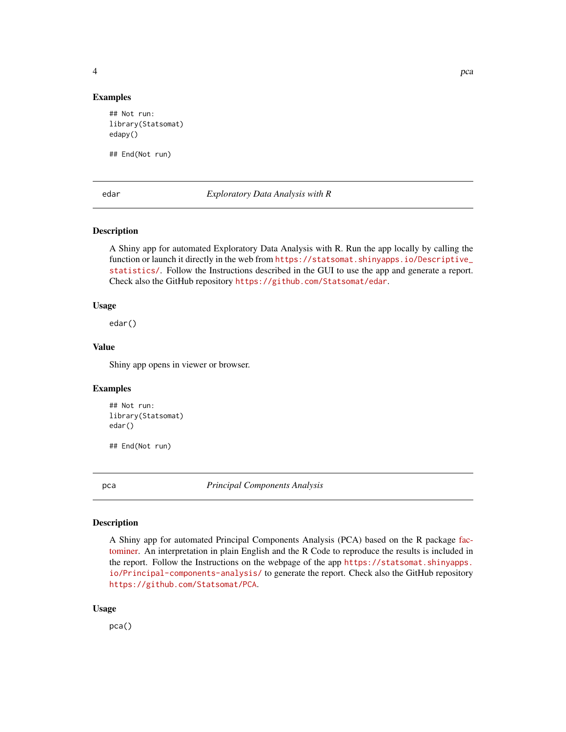<span id="page-3-0"></span>

#### Examples

## Not run: library(Statsomat) edapy()

## End(Not run)

edar *Exploratory Data Analysis with R*

#### Description

A Shiny app for automated Exploratory Data Analysis with R. Run the app locally by calling the function or launch it directly in the web from [https://statsomat.shinyapps.io/Descriptive\\_](https://statsomat.shinyapps.io/Descriptive_statistics/) [statistics/](https://statsomat.shinyapps.io/Descriptive_statistics/). Follow the Instructions described in the GUI to use the app and generate a report. Check also the GitHub repository <https://github.com/Statsomat/edar>.

#### Usage

edar()

#### Value

Shiny app opens in viewer or browser.

#### Examples

```
## Not run:
library(Statsomat)
edar()
```
## End(Not run)

pca *Principal Components Analysis*

#### Description

A Shiny app for automated Principal Components Analysis (PCA) based on the R package [fac](http://factominer.free.fr/index.html)[tominer.](http://factominer.free.fr/index.html) An interpretation in plain English and the R Code to reproduce the results is included in the report. Follow the Instructions on the webpage of the app [https://statsomat.shinyapps.](https://statsomat.shinyapps.io/Principal-components-analysis/) [io/Principal-components-analysis/](https://statsomat.shinyapps.io/Principal-components-analysis/) to generate the report. Check also the GitHub repository <https://github.com/Statsomat/PCA>.

#### Usage

pca()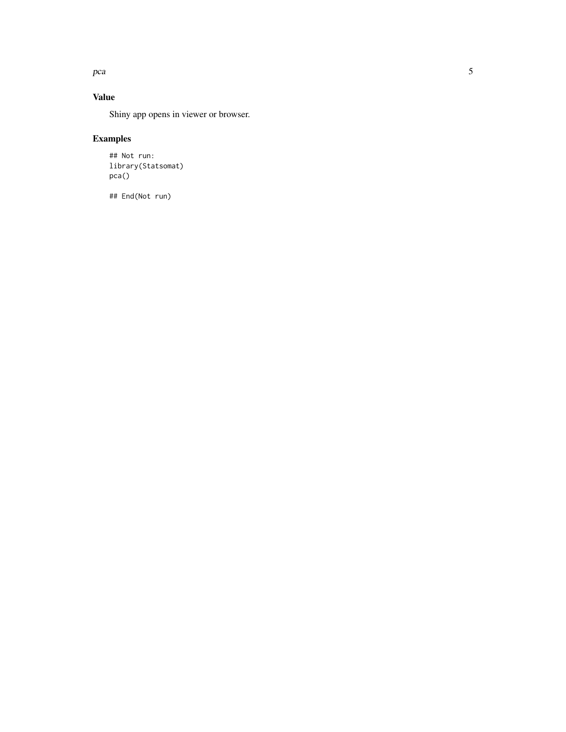pca

### Value

Shiny app opens in viewer or browser.

## Examples

## Not run: library(Statsomat) pca()

## End(Not run)